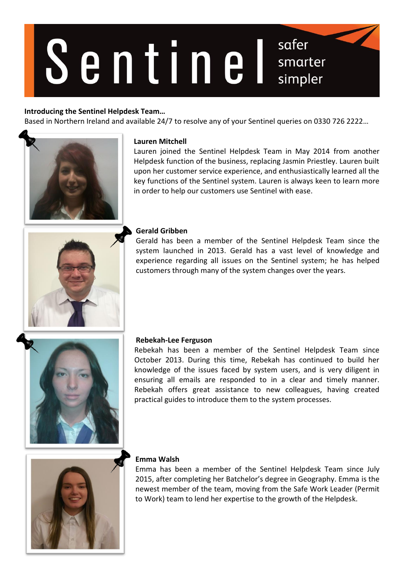# Sentinel

# **Introducing the Sentinel Helpdesk Team…**

Based in Northern Ireland and available 24/7 to resolve any of your Sentinel queries on 0330 726 2222…



### **Lauren Mitchell**

Lauren joined the Sentinel Helpdesk Team in May 2014 from another Helpdesk function of the business, replacing Jasmin Priestley. Lauren built upon her customer service experience, and enthusiastically learned all the key functions of the Sentinel system. Lauren is always keen to learn more in order to help our customers use Sentinel with ease.

safer

smarter

simpler



## **Gerald Gribben**

Gerald has been a member of the Sentinel Helpdesk Team since the system launched in 2013. Gerald has a vast level of knowledge and experience regarding all issues on the Sentinel system; he has helped customers through many of the system changes over the years.



### **Rebekah-Lee Ferguson**

Rebekah has been a member of the Sentinel Helpdesk Team since October 2013. During this time, Rebekah has continued to build her knowledge of the issues faced by system users, and is very diligent in ensuring all emails are responded to in a clear and timely manner. Rebekah offers great assistance to new colleagues, having created practical guides to introduce them to the system processes.



# **Emma Walsh**

Emma has been a member of the Sentinel Helpdesk Team since July 2015, after completing her Batchelor's degree in Geography. Emma is the newest member of the team, moving from the Safe Work Leader (Permit to Work) team to lend her expertise to the growth of the Helpdesk.